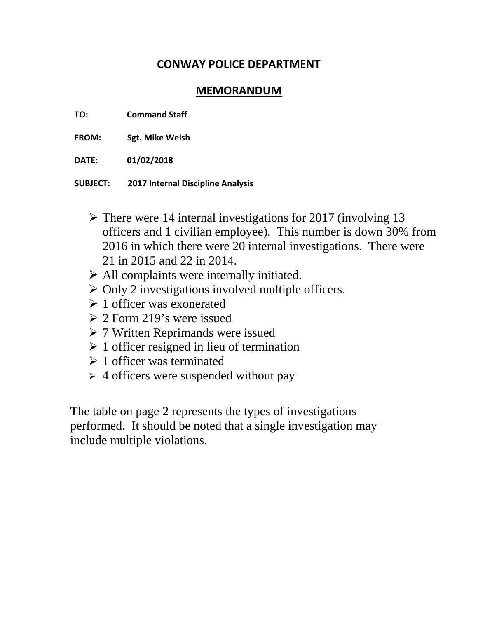## **CONWAY POLICE DEPARTMENT**

## **MEMORANDUM**

- **TO: Command Staff**
- **FROM: Sgt. Mike Welsh**
- **DATE: 01/02/2018**
- **SUBJECT: 2017 Internal Discipline Analysis**
	- $\triangleright$  There were 14 internal investigations for 2017 (involving 13 officers and 1 civilian employee). This number is down 30% from 2016 in which there were 20 internal investigations. There were 21 in 2015 and 22 in 2014.
	- $\triangleright$  All complaints were internally initiated.
	- $\triangleright$  Only 2 investigations involved multiple officers.
	- $\geq 1$  officer was exonerated
	- $\geq 2$  Form 219's were issued
	- 7 Written Reprimands were issued
	- $\geq 1$  officer resigned in lieu of termination
	- $\geq 1$  officer was terminated
	- $\geq 4$  officers were suspended without pay

The table on page 2 represents the types of investigations performed. It should be noted that a single investigation may include multiple violations.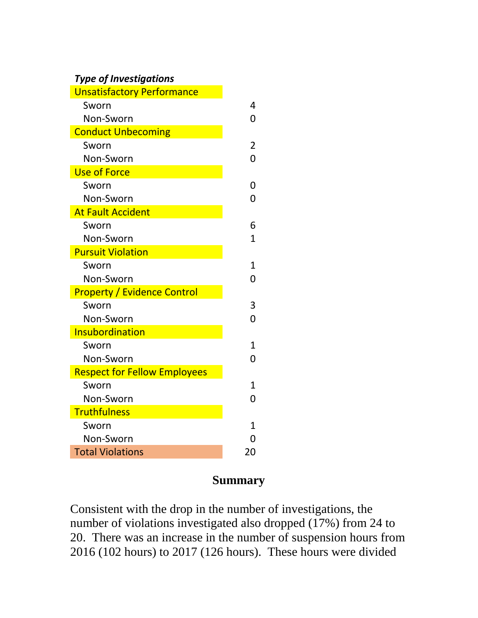## *Type of Investigations*

| <b>Unsatisfactory Performance</b>   |                |
|-------------------------------------|----------------|
| Sworn                               | 4              |
| Non-Sworn                           | 0              |
| <b>Conduct Unbecoming</b>           |                |
| Sworn                               | $\overline{2}$ |
| Non-Sworn                           | 0              |
| <b>Use of Force</b>                 |                |
| Sworn                               | 0              |
| Non-Sworn                           | 0              |
| <b>At Fault Accident</b>            |                |
| Sworn                               | 6              |
| Non-Sworn                           | $\overline{1}$ |
| <b>Pursuit Violation</b>            |                |
| Sworn                               | 1              |
| Non-Sworn                           | 0              |
| <b>Property / Evidence Control</b>  |                |
| Sworn                               | 3              |
| Non-Sworn                           | 0              |
| <b>Insubordination</b>              |                |
| Sworn                               | $\mathbf{1}$   |
| Non-Sworn                           | 0              |
| <b>Respect for Fellow Employees</b> |                |
| Sworn                               | $\mathbf{1}$   |
| Non-Sworn                           | 0              |
| <b>Truthfulness</b>                 |                |
| Sworn                               | $\overline{1}$ |
| Non-Sworn                           | 0              |
| <b>Total Violations</b>             | 20             |
|                                     |                |

## **Summary**

Consistent with the drop in the number of investigations, the number of violations investigated also dropped (17%) from 24 to 20. There was an increase in the number of suspension hours from 2016 (102 hours) to 2017 (126 hours). These hours were divided